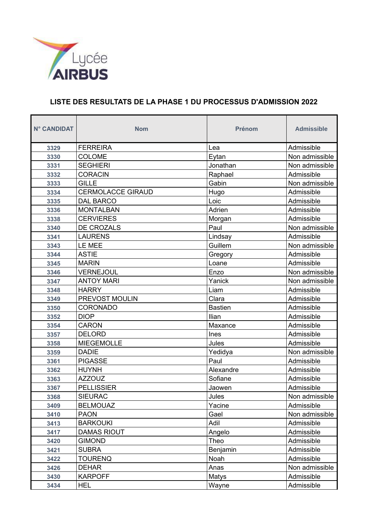

| <b>N° CANDIDAT</b> | <b>Nom</b>               | <b>Prénom</b>  | <b>Admissible</b> |
|--------------------|--------------------------|----------------|-------------------|
| 3329               | <b>FERREIRA</b>          | Lea            | Admissible        |
| 3330               | <b>COLOME</b>            | Eytan          | Non admissible    |
| 3331               | <b>SEGHIERI</b>          | Jonathan       | Non admissible    |
| 3332               | <b>CORACIN</b>           | Raphael        | Admissible        |
| 3333               | <b>GILLE</b>             | Gabin          | Non admissible    |
| 3334               | <b>CERMOLACCE GIRAUD</b> | Hugo           | Admissible        |
| 3335               | <b>DAL BARCO</b>         | Loic           | Admissible        |
| 3336               | <b>MONTALBAN</b>         | Adrien         | Admissible        |
| 3338               | <b>CERVIERES</b>         | Morgan         | Admissible        |
| 3340               | <b>DE CROZALS</b>        | Paul           | Non admissible    |
| 3341               | <b>LAURENS</b>           | Lindsay        | Admissible        |
| 3343               | LE MEE                   | Guillem        | Non admissible    |
| 3344               | <b>ASTIE</b>             | Gregory        | Admissible        |
| 3345               | <b>MARIN</b>             | Loane          | Admissible        |
| 3346               | <b>VERNEJOUL</b>         | Enzo           | Non admissible    |
| 3347               | <b>ANTOY MARI</b>        | Yanick         | Non admissible    |
| 3348               | <b>HARRY</b>             | Liam           | Admissible        |
| 3349               | PREVOST MOULIN           | Clara          | Admissible        |
| 3350               | <b>CORONADO</b>          | <b>Bastien</b> | Admissible        |
| 3352               | <b>DIOP</b>              | Ilian          | Admissible        |
| 3354               | <b>CARON</b>             | Maxance        | Admissible        |
| 3357               | <b>DELORD</b>            | Ines           | Admissible        |
| 3358               | <b>MIEGEMOLLE</b>        | Jules          | Admissible        |
| 3359               | <b>DADIE</b>             | Yedidya        | Non admissible    |
| 3361               | <b>PIGASSE</b>           | Paul           | Admissible        |
| 3362               | <b>HUYNH</b>             | Alexandre      | Admissible        |
| 3363               | <b>AZZOUZ</b>            | Sofiane        | Admissible        |
| 3367               | <b>PELLISSIER</b>        | Jaowen         | Admissible        |
| 3368               | <b>SIEURAC</b>           | Jules          | Non admissible    |
| 3409               | <b>BELMOUAZ</b>          | Yacine         | Admissible        |
| 3410               | <b>PAON</b>              | Gael           | Non admissible    |
| 3413               | <b>BARKOUKI</b>          | Adil           | Admissible        |
| 3417               | <b>DAMAS RIOUT</b>       | Angelo         | Admissible        |
| 3420               | <b>GIMOND</b>            | Theo           | Admissible        |
| 3421               | <b>SUBRA</b>             | Benjamin       | Admissible        |
| 3422               | <b>TOURENQ</b>           | Noah           | Admissible        |
| 3426               | <b>DEHAR</b>             | Anas           | Non admissible    |
| 3430               | <b>KARPOFF</b>           | Matys          | Admissible        |
| 3434               | <b>HEL</b>               | Wayne          | Admissible        |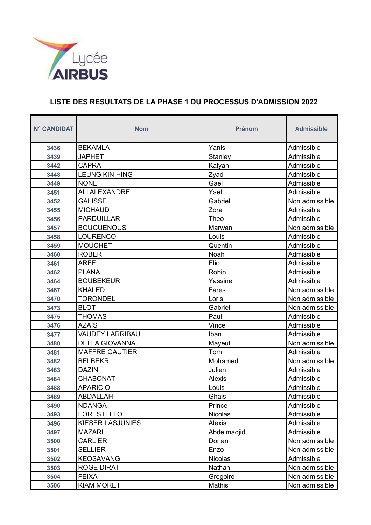

| <b>N° CANDIDAT</b> | <b>Nom</b>              | <b>Prénom</b>  | <b>Admissible</b> |
|--------------------|-------------------------|----------------|-------------------|
| 3436               | <b>BEKAMLA</b>          | Yanis          | Admissible        |
| 3439               | <b>JAPHET</b>           | Stanley        | Admissible        |
| 3442               | <b>CAPRA</b>            | Kalyan         | Admissible        |
| 3448               | <b>LEUNG KIN HING</b>   | Zyad           | Admissible        |
| 3449               | <b>NONE</b>             | Gael           | Admissible        |
| 3451               | <b>ALI ALEXANDRE</b>    | Yael           | Admissible        |
| 3452               | <b>GALISSE</b>          | Gabriel        | Non admissible    |
| 3455               | <b>MICHAUD</b>          | Zora           | Admissible        |
| 3456               | <b>PARDUILLAR</b>       | Theo           | Admissible        |
| 3457               | <b>BOUGUENOUS</b>       | Marwan         | Non admissible    |
| 3458               | <b>LOURENCO</b>         | Louis          | Admissible        |
| 3459               | <b>MOUCHET</b>          | Quentin        | Admissible        |
| 3460               | <b>ROBERT</b>           | Noah           | Admissible        |
| 3461               | <b>ARFE</b>             | Elio           | Admissible        |
| 3462               | <b>PLANA</b>            | Robin          | Admissible        |
| 3464               | <b>BOUBEKEUR</b>        | Yassine        | Admissible        |
| 3467               | <b>KHALED</b>           | Fares          | Non admissible    |
| 3470               | <b>TORONDEL</b>         | Loris          | Non admissible    |
| 3473               | <b>BLOT</b>             | Gabriel        | Non admissible    |
| 3475               | <b>THOMAS</b>           | Paul           | Admissible        |
| 3476               | <b>AZAIS</b>            | Vince          | Admissible        |
| 3477               | <b>VAUDEY LARRIBAU</b>  | Iban           | Admissible        |
| 3480               | <b>DELLA GIOVANNA</b>   | Mayeul         | Non admissible    |
| 3481               | <b>MAFFRE GAUTIER</b>   | Tom            | Admissible        |
| 3482               | <b>BELBEKRI</b>         | Mohamed        | Non admissible    |
| 3483               | <b>DAZIN</b>            | Julien         | Admissible        |
| 3484               | <b>CHABONAT</b>         | Alexis         | Admissible        |
| 3488               | <b>APARICIO</b>         | Louis          | Admissible        |
| 3489               | ABDALLAH                | Ghais          | Admissible        |
| 3490               | <b>NDANGA</b>           | Prince         | Admissible        |
| 3493               | <b>FORESTELLO</b>       | <b>Nicolas</b> | Admissible        |
| 3496               | <b>KIESER LASJUNIES</b> | Alexis         | Admissible        |
| 3497               | <b>MAZARI</b>           | Abdelmadjid    | Admissible        |
| 3500               | <b>CARLIER</b>          | Dorian         | Non admissible    |
| 3501               | <b>SELLIER</b>          | Enzo           | Non admissible    |
| 3502               | <b>KEOSAVANG</b>        | <b>Nicolas</b> | Admissible        |
| 3503               | <b>ROGE DIRAT</b>       | Nathan         | Non admissible    |
| 3504               | <b>FEIXA</b>            | Gregoire       | Non admissible    |
| 3506               | <b>KIAM MORET</b>       | Mathis         | Non admissible    |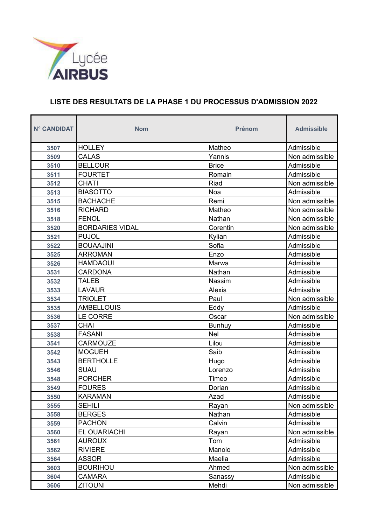

| <b>N° CANDIDAT</b> | <b>Nom</b>             | <b>Prénom</b> | <b>Admissible</b> |
|--------------------|------------------------|---------------|-------------------|
| 3507               | <b>HOLLEY</b>          | Matheo        | Admissible        |
| 3509               | <b>CALAS</b>           | Yannis        | Non admissible    |
| 3510               | <b>BELLOUR</b>         | <b>Brice</b>  | Admissible        |
| 3511               | <b>FOURTET</b>         | Romain        | Admissible        |
| 3512               | <b>CHATI</b>           | Riad          | Non admissible    |
| 3513               | <b>BIASOTTO</b>        | Noa           | Admissible        |
| 3515               | <b>BACHACHE</b>        | Remi          | Non admissible    |
| 3516               | <b>RICHARD</b>         | Matheo        | Non admissible    |
| 3518               | <b>FENOL</b>           | Nathan        | Non admissible    |
| 3520               | <b>BORDARIES VIDAL</b> | Corentin      | Non admissible    |
| 3521               | <b>PUJOL</b>           | Kylian        | Admissible        |
| 3522               | <b>BOUAAJINI</b>       | Sofia         | Admissible        |
| 3525               | <b>ARROMAN</b>         | Enzo          | Admissible        |
| 3526               | <b>HAMDAOUI</b>        | Marwa         | Admissible        |
| 3531               | <b>CARDONA</b>         | Nathan        | Admissible        |
| 3532               | <b>TALEB</b>           | <b>Nassim</b> | Admissible        |
| 3533               | <b>LAVAUR</b>          | Alexis        | Admissible        |
| 3534               | <b>TRIOLET</b>         | Paul          | Non admissible    |
| 3535               | <b>AMBELLOUIS</b>      | Eddy          | Admissible        |
| 3536               | <b>LE CORRE</b>        | Oscar         | Non admissible    |
| 3537               | <b>CHAI</b>            | <b>Bunhuy</b> | Admissible        |
| 3538               | <b>FASANI</b>          | <b>Nel</b>    | Admissible        |
| 3541               | <b>CARMOUZE</b>        | Lilou         | Admissible        |
| 3542               | <b>MOGUEH</b>          | Saib          | Admissible        |
| 3543               | <b>BERTHOLLE</b>       | Hugo          | Admissible        |
| 3546               | <b>SUAU</b>            | Lorenzo       | Admissible        |
| 3548               | <b>PORCHER</b>         | Timeo         | Admissible        |
| 3549               | <b>FOURES</b>          | Dorian        | Admissible        |
| 3550               | <b>KARAMAN</b>         | Azad          | Admissible        |
| 3555               | SEHILI                 | Rayan         | Non admissible    |
| 3558               | <b>BERGES</b>          | Nathan        | Admissible        |
| 3559               | <b>PACHON</b>          | Calvin        | Admissible        |
| 3560               | <b>EL OUARIACHI</b>    | Rayan         | Non admissible    |
| 3561               | <b>AUROUX</b>          | Tom           | Admissible        |
| 3562               | <b>RIVIERE</b>         | Manolo        | Admissible        |
| 3564               | ASSOR                  | Maelia        | Admissible        |
| 3603               | <b>BOURIHOU</b>        | Ahmed         | Non admissible    |
| 3604               | CAMARA                 | Sanassy       | Admissible        |
| 3606               | <b>ZITOUNI</b>         | Mehdi         | Non admissible    |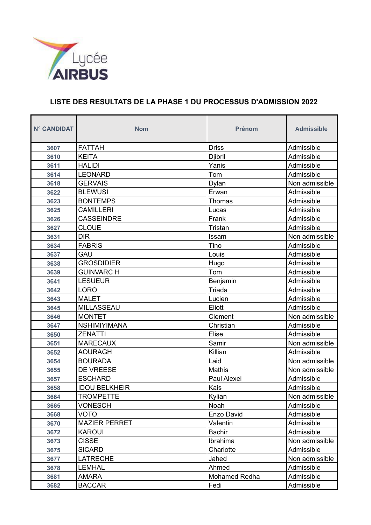

| <b>N° CANDIDAT</b> | <b>Nom</b>           | Prénom        | <b>Admissible</b> |
|--------------------|----------------------|---------------|-------------------|
| 3607               | <b>FATTAH</b>        | <b>Driss</b>  | Admissible        |
| 3610               | <b>KEITA</b>         | Djibril       | Admissible        |
| 3611               | <b>HALIDI</b>        | Yanis         | Admissible        |
| 3614               | <b>LEONARD</b>       | Tom           | Admissible        |
| 3618               | <b>GERVAIS</b>       | Dylan         | Non admissible    |
| 3622               | <b>BLEWUSI</b>       | Erwan         | Admissible        |
| 3623               | <b>BONTEMPS</b>      | Thomas        | Admissible        |
| 3625               | <b>CAMILLERI</b>     | Lucas         | Admissible        |
| 3626               | <b>CASSEINDRE</b>    | Frank         | Admissible        |
| 3627               | <b>CLOUE</b>         | Tristan       | Admissible        |
| 3631               | <b>DIR</b>           | Issam         | Non admissible    |
| 3634               | <b>FABRIS</b>        | Tino          | Admissible        |
| 3637               | GAU                  | Louis         | Admissible        |
| 3638               | <b>GROSDIDIER</b>    | Hugo          | Admissible        |
| 3639               | <b>GUINVARC H</b>    | Tom           | Admissible        |
| 3641               | <b>LESUEUR</b>       | Benjamin      | Admissible        |
| 3642               | <b>LORO</b>          | Triada        | Admissible        |
| 3643               | <b>MALET</b>         | Lucien        | Admissible        |
| 3645               | <b>MILLASSEAU</b>    | Eliott        | Admissible        |
| 3646               | <b>MONTET</b>        | Clement       | Non admissible    |
| 3647               | <b>NSHIMIYIMANA</b>  | Christian     | Admissible        |
| 3650               | <b>ZENATTI</b>       | Elise         | Admissible        |
| 3651               | <b>MARECAUX</b>      | Samir         | Non admissible    |
| 3652               | <b>AOURAGH</b>       | Killian       | Admissible        |
| 3654               | <b>BOURADA</b>       | Laid          | Non admissible    |
| 3655               | <b>DE VREESE</b>     | Mathis        | Non admissible    |
| 3657               | <b>ESCHARD</b>       | Paul Alexei   | Admissible        |
| 3658               | <b>IDOU BELKHEIR</b> | Kais          | Admissible        |
| 3664               | <b>TROMPETTE</b>     | Kylian        | Non admissible    |
| 3665               | VONESCH              | Noah          | Admissible        |
| 3668               | VOTO                 | Enzo David    | Admissible        |
| 3670               | <b>MAZIER PERRET</b> | Valentin      | Admissible        |
| 3672               | <b>KAROUI</b>        | <b>Bachir</b> | Admissible        |
| 3673               | <b>CISSE</b>         | Ibrahima      | Non admissible    |
| 3675               | <b>SICARD</b>        | Charlotte     | Admissible        |
| 3677               | <b>LATRECHE</b>      | Jahed         | Non admissible    |
| 3678               | <b>LEMHAL</b>        | Ahmed         | Admissible        |
| 3681               | AMARA                | Mohamed Redha | Admissible        |
| 3682               | <b>BACCAR</b>        | Fedi          | Admissible        |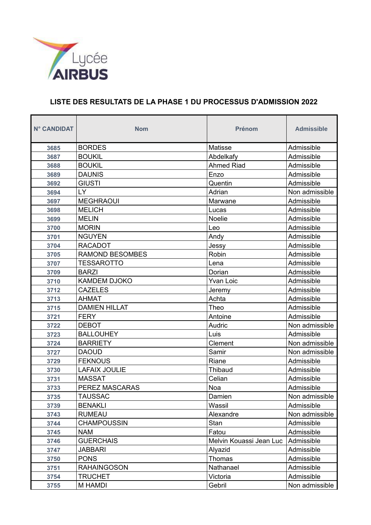

| <b>N° CANDIDAT</b> | <b>Nom</b>             | <b>Prénom</b>           | <b>Admissible</b> |
|--------------------|------------------------|-------------------------|-------------------|
| 3685               | <b>BORDES</b>          | <b>Matisse</b>          | Admissible        |
| 3687               | <b>BOUKIL</b>          | Abdelkafy               | Admissible        |
| 3688               | <b>BOUKIL</b>          | <b>Ahmed Riad</b>       | Admissible        |
| 3689               | <b>DAUNIS</b>          | Enzo                    | Admissible        |
| 3692               | <b>GIUSTI</b>          | Quentin                 | Admissible        |
| 3694               | <b>LY</b>              | Adrian                  | Non admissible    |
| 3697               | <b>MEGHRAOUI</b>       | Marwane                 | Admissible        |
| 3698               | <b>MELICH</b>          | Lucas                   | Admissible        |
| 3699               | <b>MELIN</b>           | Noelie                  | Admissible        |
| 3700               | <b>MORIN</b>           | Leo                     | Admissible        |
| 3701               | <b>NGUYEN</b>          | Andy                    | Admissible        |
| 3704               | <b>RACADOT</b>         | Jessy                   | Admissible        |
| 3705               | <b>RAMOND BESOMBES</b> | Robin                   | Admissible        |
| 3707               | <b>TESSAROTTO</b>      | Lena                    | Admissible        |
| 3709               | <b>BARZI</b>           | Dorian                  | Admissible        |
| 3710               | <b>KAMDEM DJOKO</b>    | <b>Yvan Loic</b>        | Admissible        |
| 3712               | <b>CAZELES</b>         | Jeremy                  | Admissible        |
| 3713               | <b>AHMAT</b>           | Achta                   | Admissible        |
| 3715               | <b>DAMIEN HILLAT</b>   | Theo                    | Admissible        |
| 3721               | <b>FERY</b>            | Antoine                 | Admissible        |
| 3722               | <b>DEBOT</b>           | Audric                  | Non admissible    |
| 3723               | <b>BALLOUHEY</b>       | Luis                    | Admissible        |
| 3724               | <b>BARRIETY</b>        | Clement                 | Non admissible    |
| 3727               | <b>DAOUD</b>           | Samir                   | Non admissible    |
| 3729               | <b>FEKNOUS</b>         | Riane                   | Admissible        |
| 3730               | <b>LAFAIX JOULIE</b>   | Thibaud                 | Admissible        |
| 3731               | <b>MASSAT</b>          | Celian                  | Admissible        |
| 3733               | PEREZ MASCARAS         | Noa                     | Admissible        |
| 3735               | <b>TAUSSAC</b>         | Damien                  | Non admissible    |
| 3739               | <b>BENAKLI</b>         | Wassil                  | Admissible        |
| 3743               | <b>RUMEAU</b>          | Alexandre               | Non admissible    |
| 3744               | CHAMPOUSSIN            | Stan                    | Admissible        |
| 3745               | <b>NAM</b>             | Fatou                   | Admissible        |
| 3746               | <b>GUERCHAIS</b>       | Melvin Kouassi Jean Luc | Admissible        |
| 3747               | JABBARI                | Alyazid                 | Admissible        |
| 3750               | <b>PONS</b>            | Thomas                  | Admissible        |
| 3751               | <b>RAHAINGOSON</b>     | Nathanael               | Admissible        |
| 3754               | TRUCHET                | Victoria                | Admissible        |
| 3755               | <b>M HAMDI</b>         | Gebril                  | Non admissible    |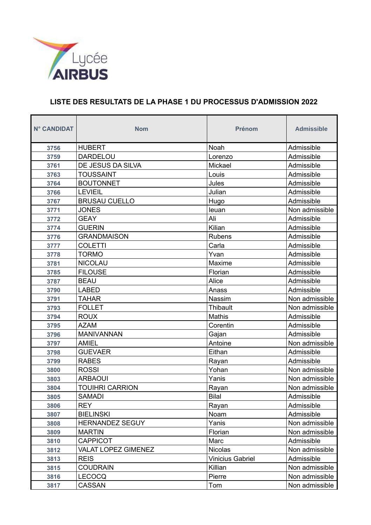

| <b>N° CANDIDAT</b> | <b>Nom</b>             | Prénom                  | <b>Admissible</b> |
|--------------------|------------------------|-------------------------|-------------------|
| 3756               | <b>HUBERT</b>          | Noah                    | Admissible        |
| 3759               | <b>DARDELOU</b>        | Lorenzo                 | Admissible        |
| 3761               | DE JESUS DA SILVA      | Mickael                 | Admissible        |
| 3763               | <b>TOUSSAINT</b>       | Louis                   | Admissible        |
| 3764               | <b>BOUTONNET</b>       | Jules                   | Admissible        |
| 3766               | <b>LEVIEIL</b>         | Julian                  | Admissible        |
| 3767               | <b>BRUSAU CUELLO</b>   | Hugo                    | Admissible        |
| 3771               | <b>JONES</b>           | leuan                   | Non admissible    |
| 3772               | <b>GEAY</b>            | Ali                     | Admissible        |
| 3774               | <b>GUERIN</b>          | Kilian                  | Admissible        |
| 3776               | <b>GRANDMAISON</b>     | Rubens                  | Admissible        |
| 3777               | <b>COLETTI</b>         | Carla                   | Admissible        |
| 3778               | <b>TORMO</b>           | Yvan                    | Admissible        |
| 3781               | <b>NICOLAU</b>         | Maxime                  | Admissible        |
| 3785               | <b>FILOUSE</b>         | Florian                 | Admissible        |
| 3787               | <b>BEAU</b>            | Alice                   | Admissible        |
| 3790               | <b>LABED</b>           | Anass                   | Admissible        |
| 3791               | <b>TAHAR</b>           | Nassim                  | Non admissible    |
| 3793               | <b>FOLLET</b>          | Thibault                | Non admissible    |
| 3794               | <b>ROUX</b>            | Mathis                  | Admissible        |
| 3795               | <b>AZAM</b>            | Corentin                | Admissible        |
| 3796               | <b>MANIVANNAN</b>      | Gajan                   | Admissible        |
| 3797               | <b>AMIEL</b>           | Antoine                 | Non admissible    |
| 3798               | <b>GUEVAER</b>         | Eithan                  | Admissible        |
| 3799               | <b>RABES</b>           | Rayan                   | Admissible        |
| 3800               | <b>ROSSI</b>           | Yohan                   | Non admissible    |
| 3803               | <b>ARBAOUI</b>         | Yanis                   | Non admissible    |
| 3804               | <b>TOUIHRI CARRION</b> | Rayan                   | Non admissible    |
| 3805               | <b>SAMADI</b>          | <b>Bilal</b>            | Admissible        |
| 3806               | <b>REY</b>             | Rayan                   | Admissible        |
| 3807               | <b>BIELINSKI</b>       | Noam                    | Admissible        |
| 3808               | <b>HERNANDEZ SEGUY</b> | Yanis                   | Non admissible    |
| 3809               | <b>MARTIN</b>          | Florian                 | Non admissible    |
| 3810               | <b>CAPPICOT</b>        | Marc                    | Admissible        |
| 3812               | VALAT LOPEZ GIMENEZ    | <b>Nicolas</b>          | Non admissible    |
| 3813               | <b>REIS</b>            | <b>Vinicius Gabriel</b> | Admissible        |
| 3815               | <b>COUDRAIN</b>        | Killian                 | Non admissible    |
| 3816               | <b>LECOCQ</b>          | Pierre                  | Non admissible    |
| 3817               | <b>CASSAN</b>          | Tom                     | Non admissible    |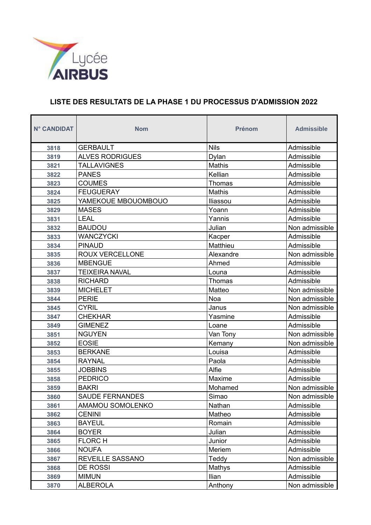

| <b>N° CANDIDAT</b> | <b>Nom</b>             | Prénom      | <b>Admissible</b> |
|--------------------|------------------------|-------------|-------------------|
| 3818               | <b>GERBAULT</b>        | <b>Nils</b> | Admissible        |
| 3819               | <b>ALVES RODRIGUES</b> | Dylan       | Admissible        |
| 3821               | <b>TALLAVIGNES</b>     | Mathis      | Admissible        |
| 3822               | <b>PANES</b>           | Kellian     | Admissible        |
| 3823               | <b>COUMES</b>          | Thomas      | Admissible        |
| 3824               | <b>FEUGUERAY</b>       | Mathis      | Admissible        |
| 3825               | YAMEKOUE MBOUOMBOUO    | Iliassou    | Admissible        |
| 3829               | <b>MASES</b>           | Yoann       | Admissible        |
| 3831               | <b>LEAL</b>            | Yannis      | Admissible        |
| 3832               | <b>BAUDOU</b>          | Julian      | Non admissible    |
| 3833               | <b>WANCZYCKI</b>       | Kacper      | Admissible        |
| 3834               | <b>PINAUD</b>          | Matthieu    | Admissible        |
| 3835               | <b>ROUX VERCELLONE</b> | Alexandre   | Non admissible    |
| 3836               | <b>MBENGUE</b>         | Ahmed       | Admissible        |
| 3837               | <b>TEIXEIRA NAVAL</b>  | Louna       | Admissible        |
| 3838               | <b>RICHARD</b>         | Thomas      | Admissible        |
| 3839               | <b>MICHELET</b>        | Matteo      | Non admissible    |
| 3844               | <b>PERIE</b>           | Noa         | Non admissible    |
| 3845               | <b>CYRIL</b>           | Janus       | Non admissible    |
| 3847               | <b>CHEKHAR</b>         | Yasmine     | Admissible        |
| 3849               | <b>GIMENEZ</b>         | Loane       | Admissible        |
| 3851               | <b>NGUYEN</b>          | Van Tony    | Non admissible    |
| 3852               | <b>EOSIE</b>           | Kemany      | Non admissible    |
| 3853               | <b>BERKANE</b>         | Louisa      | Admissible        |
| 3854               | <b>RAYNAL</b>          | Paola       | Admissible        |
| 3855               | <b>JOBBINS</b>         | Alfie       | Admissible        |
| 3858               | <b>PEDRICO</b>         | Maxime      | Admissible        |
| 3859               | <b>BAKRI</b>           | Mohamed     | Non admissible    |
| 3860               | <b>SAUDE FERNANDES</b> | Simao       | Non admissible    |
| 3861               | AMAMOU SOMOLENKO       | Nathan      | Admissible        |
| 3862               | <b>CENINI</b>          | Matheo      | Admissible        |
| 3863               | <b>BAYEUL</b>          | Romain      | Admissible        |
| 3864               | <b>BOYER</b>           | Julian      | Admissible        |
| 3865               | <b>FLORCH</b>          | Junior      | Admissible        |
| 3866               | <b>NOUFA</b>           | Meriem      | Admissible        |
| 3867               | REVEILLE SASSANO       | Teddy       | Non admissible    |
| 3868               | <b>DE ROSSI</b>        | Mathys      | Admissible        |
| 3869               | <b>MIMUN</b>           | Ilian       | Admissible        |
| 3870               | <b>ALBEROLA</b>        | Anthony     | Non admissible    |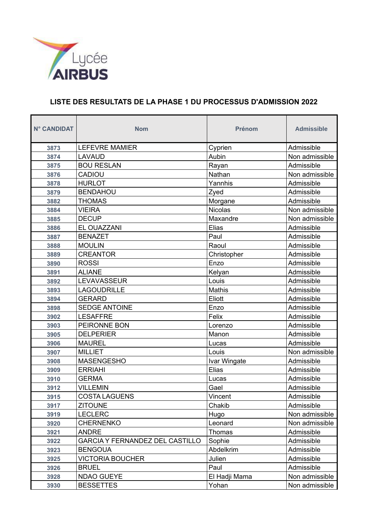

| <b>N° CANDIDAT</b> | <b>Nom</b>                             | <b>Prénom</b>  | <b>Admissible</b> |
|--------------------|----------------------------------------|----------------|-------------------|
| 3873               | <b>LEFEVRE MAMIER</b>                  | Cyprien        | Admissible        |
| 3874               | <b>LAVAUD</b>                          | Aubin          | Non admissible    |
| 3875               | <b>BOU RESLAN</b>                      | Rayan          | Admissible        |
| 3876               | <b>CADIOU</b>                          | Nathan         | Non admissible    |
| 3878               | <b>HURLOT</b>                          | Yannhis        | Admissible        |
| 3879               | <b>BENDAHOU</b>                        | Zyed           | Admissible        |
| 3882               | <b>THOMAS</b>                          | Morgane        | Admissible        |
| 3884               | <b>VIEIRA</b>                          | <b>Nicolas</b> | Non admissible    |
| 3885               | <b>DECUP</b>                           | Maxandre       | Non admissible    |
| 3886               | EL OUAZZANI                            | Elias          | Admissible        |
| 3887               | <b>BENAZET</b>                         | Paul           | Admissible        |
| 3888               | <b>MOULIN</b>                          | Raoul          | Admissible        |
| 3889               | <b>CREANTOR</b>                        | Christopher    | Admissible        |
| 3890               | <b>ROSSI</b>                           | Enzo           | Admissible        |
| 3891               | <b>ALIANE</b>                          | Kelyan         | Admissible        |
| 3892               | LEVAVASSEUR                            | Louis          | Admissible        |
| 3893               | <b>LAGOUDRILLE</b>                     | Mathis         | Admissible        |
| 3894               | <b>GERARD</b>                          | Eliott         | Admissible        |
| 3898               | <b>SEDGE ANTOINE</b>                   | Enzo           | Admissible        |
| 3902               | <b>LESAFFRE</b>                        | Felix          | Admissible        |
| 3903               | PEIRONNE BON                           | Lorenzo        | Admissible        |
| 3905               | <b>DELPERIER</b>                       | Manon          | Admissible        |
| 3906               | <b>MAUREL</b>                          | Lucas          | Admissible        |
| 3907               | <b>MILLIET</b>                         | Louis          | Non admissible    |
| 3908               | <b>MASENGESHO</b>                      | Ivar Wingate   | Admissible        |
| 3909               | <b>ERRIAHI</b>                         | Elias          | Admissible        |
| 3910               | <b>GERMA</b>                           | Lucas          | Admissible        |
| 3912               | <b>VILLEMIN</b>                        | Gael           | Admissible        |
| 3915               | <b>COSTA LAGUENS</b>                   | Vincent        | Admissible        |
| 3917               | <b>ZITOUNE</b>                         | Chakib         | Admissible        |
| 3919               | <b>LECLERC</b>                         | Hugo           | Non admissible    |
| 3920               | <b>CHERNENKO</b>                       | Leonard        | Non admissible    |
| 3921               | <b>ANDRE</b>                           | Thomas         | Admissible        |
| 3922               | <b>GARCIA Y FERNANDEZ DEL CASTILLO</b> | Sophie         | Admissible        |
| 3923               | <b>BENGOUA</b>                         | Abdelkrim      | Admissible        |
| 3925               | <b>VICTORIA BOUCHER</b>                | Julien         | Admissible        |
| 3926               | <b>BRUEL</b>                           | Paul           | Admissible        |
| 3928               | <b>NDAO GUEYE</b>                      | El Hadji Mama  | Non admissible    |
| 3930               | <b>BESSETTES</b>                       | Yohan          | Non admissible    |